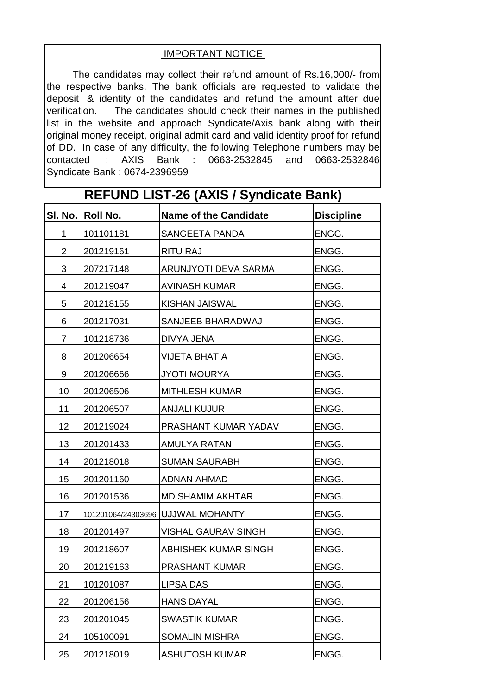## IMPORTANT NOTICE

The candidates may collect their refund amount of Rs.16,000/- from the respective banks. The bank officials are requested to validate the deposit & identity of the candidates and refund the amount after due verification. The candidates should check their names in the published list in the website and approach Syndicate/Axis bank along with their original money receipt, original admit card and valid identity proof for refund of DD. In case of any difficulty, the following Telephone numbers may be contacted : AXIS Bank : 0663-2532845 and 0663-2532846 Syndicate Bank : 0674-2396959

| REFUND LIST-26 (AXIS / Syndicate Bank) |           |                                    |                   |
|----------------------------------------|-----------|------------------------------------|-------------------|
| SI. No.                                | Roll No.  | <b>Name of the Candidate</b>       | <b>Discipline</b> |
| 1                                      | 101101181 | SANGEETA PANDA                     | ENGG.             |
| $\overline{2}$                         | 201219161 | <b>RITU RAJ</b>                    | ENGG.             |
| 3                                      | 207217148 | ARUNJYOTI DEVA SARMA               | ENGG.             |
| 4                                      | 201219047 | <b>AVINASH KUMAR</b>               | ENGG.             |
| 5                                      | 201218155 | <b>KISHAN JAISWAL</b>              | ENGG.             |
| 6                                      | 201217031 | SANJEEB BHARADWAJ                  | ENGG.             |
| 7                                      | 101218736 | DIVYA JENA                         | ENGG.             |
| 8                                      | 201206654 | <b>VIJETA BHATIA</b>               | ENGG.             |
| 9                                      | 201206666 | <b>JYOTI MOURYA</b>                | ENGG.             |
| 10                                     | 201206506 | <b>MITHLESH KUMAR</b>              | ENGG.             |
| 11                                     | 201206507 | <b>ANJALI KUJUR</b>                | ENGG.             |
| 12                                     | 201219024 | PRASHANT KUMAR YADAV               | ENGG.             |
| 13                                     | 201201433 | <b>AMULYA RATAN</b>                | ENGG.             |
| 14                                     | 201218018 | <b>SUMAN SAURABH</b>               | ENGG.             |
| 15                                     | 201201160 | <b>ADNAN AHMAD</b>                 | ENGG.             |
| 16                                     | 201201536 | <b>MD SHAMIM AKHTAR</b>            | ENGG.             |
| 17                                     |           | 101201064/24303696 UJJJWAL MOHANTY | ENGG.             |
| 18                                     | 201201497 | <b>VISHAL GAURAV SINGH</b>         | ENGG.             |
| 19                                     | 201218607 | ABHISHEK KUMAR SINGH               | ENGG.             |
| 20                                     | 201219163 | PRASHANT KUMAR                     | ENGG.             |
| 21                                     | 101201087 | <b>LIPSA DAS</b>                   | ENGG.             |
| 22                                     | 201206156 | <b>HANS DAYAL</b>                  | ENGG.             |
| 23                                     | 201201045 | <b>SWASTIK KUMAR</b>               | ENGG.             |
| 24                                     | 105100091 | <b>SOMALIN MISHRA</b>              | ENGG.             |
| 25                                     | 201218019 | <b>ASHUTOSH KUMAR</b>              | ENGG.             |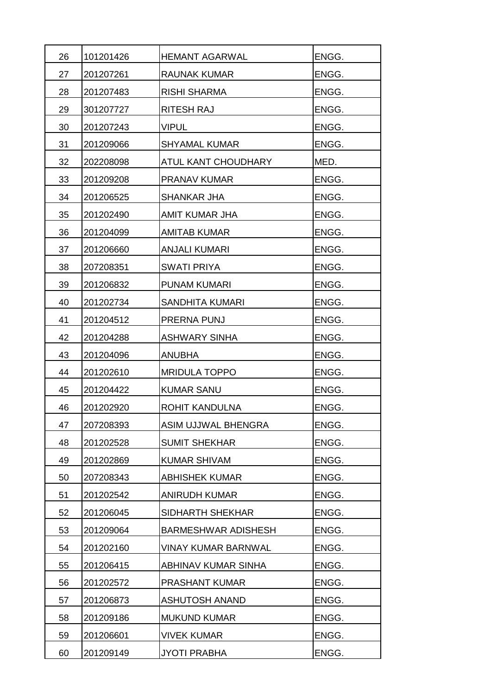| 26 | 101201426 | <b>HEMANT AGARWAL</b>      | ENGG. |
|----|-----------|----------------------------|-------|
| 27 | 201207261 | RAUNAK KUMAR               | ENGG. |
| 28 | 201207483 | <b>RISHI SHARMA</b>        | ENGG. |
| 29 | 301207727 | RITESH RAJ                 | ENGG. |
| 30 | 201207243 | <b>VIPUL</b>               | ENGG. |
| 31 | 201209066 | <b>SHYAMAL KUMAR</b>       | ENGG. |
| 32 | 202208098 | ATUL KANT CHOUDHARY        | MED.  |
| 33 | 201209208 | PRANAV KUMAR               | ENGG. |
| 34 | 201206525 | SHANKAR JHA                | ENGG. |
| 35 | 201202490 | AMIT KUMAR JHA             | ENGG. |
| 36 | 201204099 | <b>AMITAB KUMAR</b>        | ENGG. |
| 37 | 201206660 | <b>ANJALI KUMARI</b>       | ENGG. |
| 38 | 207208351 | SWATI PRIYA                | ENGG. |
| 39 | 201206832 | <b>PUNAM KUMARI</b>        | ENGG. |
| 40 | 201202734 | SANDHITA KUMARI            | ENGG. |
| 41 | 201204512 | PRERNA PUNJ                | ENGG. |
| 42 | 201204288 | <b>ASHWARY SINHA</b>       | ENGG. |
| 43 | 201204096 | ANUBHA                     | ENGG. |
| 44 | 201202610 | <b>MRIDULA TOPPO</b>       | ENGG. |
| 45 | 201204422 | <b>KUMAR SANU</b>          | ENGG. |
| 46 | 201202920 | ROHIT KANDULNA             | ENGG. |
| 47 | 207208393 | ASIM UJJWAL BHENGRA        | ENGG. |
| 48 | 201202528 | <b>SUMIT SHEKHAR</b>       | ENGG. |
| 49 | 201202869 | <b>KUMAR SHIVAM</b>        | ENGG. |
| 50 | 207208343 | ABHISHEK KUMAR             | ENGG. |
| 51 | 201202542 | ANIRUDH KUMAR              | ENGG. |
| 52 | 201206045 | SIDHARTH SHEKHAR           | ENGG. |
| 53 | 201209064 | <b>BARMESHWAR ADISHESH</b> | ENGG. |
| 54 | 201202160 | VINAY KUMAR BARNWAL        | ENGG. |
| 55 | 201206415 | ABHINAV KUMAR SINHA        | ENGG. |
| 56 | 201202572 | PRASHANT KUMAR             | ENGG. |
| 57 | 201206873 | <b>ASHUTOSH ANAND</b>      | ENGG. |
| 58 | 201209186 | <b>MUKUND KUMAR</b>        | ENGG. |
| 59 | 201206601 | <b>VIVEK KUMAR</b>         | ENGG. |
| 60 | 201209149 | JYOTI PRABHA               | ENGG. |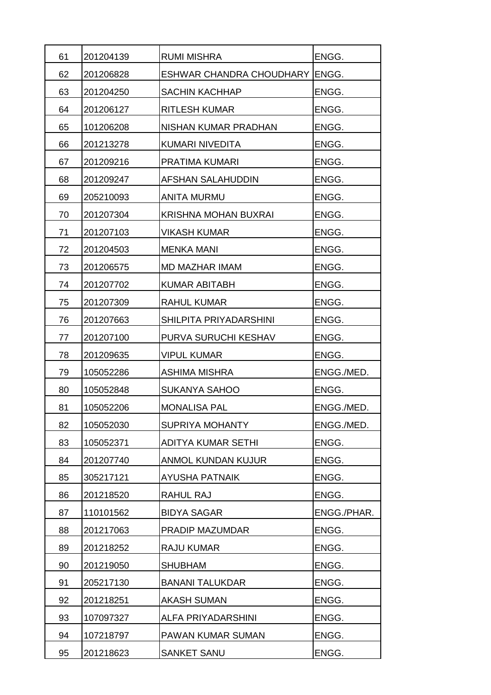| 61 | 201204139 | <b>RUMI MISHRA</b>             | ENGG.       |
|----|-----------|--------------------------------|-------------|
| 62 | 201206828 | ESHWAR CHANDRA CHOUDHARY ENGG. |             |
| 63 | 201204250 | <b>SACHIN KACHHAP</b>          | ENGG.       |
| 64 | 201206127 | <b>RITLESH KUMAR</b>           | ENGG.       |
| 65 | 101206208 | NISHAN KUMAR PRADHAN           | ENGG.       |
| 66 | 201213278 | KUMARI NIVEDITA                | ENGG.       |
| 67 | 201209216 | PRATIMA KUMARI                 | ENGG.       |
| 68 | 201209247 | AFSHAN SALAHUDDIN              | ENGG.       |
| 69 | 205210093 | <b>ANITA MURMU</b>             | ENGG.       |
| 70 | 201207304 | KRISHNA MOHAN BUXRAI           | ENGG.       |
| 71 | 201207103 | <b>VIKASH KUMAR</b>            | ENGG.       |
| 72 | 201204503 | <b>MENKA MANI</b>              | ENGG.       |
| 73 | 201206575 | <b>MD MAZHAR IMAM</b>          | ENGG.       |
| 74 | 201207702 | <b>KUMAR ABITABH</b>           | ENGG.       |
| 75 | 201207309 | <b>RAHUL KUMAR</b>             | ENGG.       |
| 76 | 201207663 | SHILPITA PRIYADARSHINI         | ENGG.       |
| 77 | 201207100 | PURVA SURUCHI KESHAV           | ENGG.       |
| 78 | 201209635 | <b>VIPUL KUMAR</b>             | ENGG.       |
| 79 | 105052286 | ASHIMA MISHRA                  | ENGG./MED.  |
| 80 | 105052848 | <b>SUKANYA SAHOO</b>           | ENGG.       |
| 81 | 105052206 | <b>MONALISA PAL</b>            | ENGG./MED.  |
| 82 | 105052030 | <b>SUPRIYA MOHANTY</b>         | ENGG./MED.  |
| 83 | 105052371 | ADITYA KUMAR SETHI             | ENGG.       |
| 84 | 201207740 | <b>ANMOL KUNDAN KUJUR</b>      | ENGG.       |
| 85 | 305217121 | AYUSHA PATNAIK                 | ENGG.       |
| 86 | 201218520 | RAHUL RAJ                      | ENGG.       |
| 87 | 110101562 | <b>BIDYA SAGAR</b>             | ENGG./PHAR. |
| 88 | 201217063 | PRADIP MAZUMDAR                | ENGG.       |
| 89 | 201218252 | RAJU KUMAR                     | ENGG.       |
| 90 | 201219050 | <b>SHUBHAM</b>                 | ENGG.       |
| 91 | 205217130 | <b>BANANI TALUKDAR</b>         | ENGG.       |
| 92 | 201218251 | <b>AKASH SUMAN</b>             | ENGG.       |
| 93 | 107097327 | ALFA PRIYADARSHINI             | ENGG.       |
| 94 | 107218797 | PAWAN KUMAR SUMAN              | ENGG.       |
| 95 | 201218623 | <b>SANKET SANU</b>             | ENGG.       |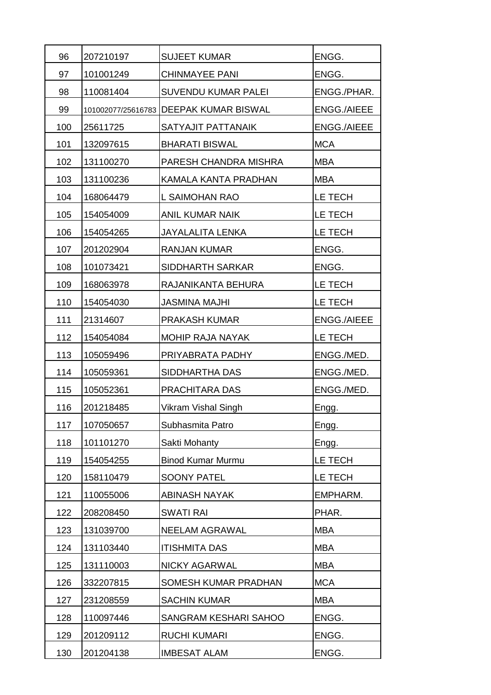| 96  | 207210197          | <b>SUJEET KUMAR</b>        | ENGG.              |
|-----|--------------------|----------------------------|--------------------|
| 97  | 101001249          | <b>CHINMAYEE PANI</b>      | ENGG.              |
| 98  | 110081404          | <b>SUVENDU KUMAR PALEI</b> | ENGG./PHAR.        |
| 99  | 101002077/25616783 | <b>DEEPAK KUMAR BISWAL</b> | ENGG./AIEEE        |
| 100 | 25611725           | SATYAJIT PATTANAIK         | <b>ENGG./AIEEE</b> |
| 101 | 132097615          | <b>BHARATI BISWAL</b>      | <b>MCA</b>         |
| 102 | 131100270          | PARESH CHANDRA MISHRA      | <b>MBA</b>         |
| 103 | 131100236          | KAMALA KANTA PRADHAN       | <b>MBA</b>         |
| 104 | 168064479          | L SAIMOHAN RAO             | LE TECH            |
| 105 | 154054009          | <b>ANIL KUMAR NAIK</b>     | LE TECH            |
| 106 | 154054265          | JAYALALITA LENKA           | LE TECH            |
| 107 | 201202904          | <b>RANJAN KUMAR</b>        | ENGG.              |
| 108 | 101073421          | SIDDHARTH SARKAR           | ENGG.              |
| 109 | 168063978          | RAJANIKANTA BEHURA         | LE TECH            |
| 110 | 154054030          | <b>JASMINA MAJHI</b>       | LE TECH            |
| 111 | 21314607           | <b>PRAKASH KUMAR</b>       | <b>ENGG./AIEEE</b> |
| 112 | 154054084          | <b>MOHIP RAJA NAYAK</b>    | LE TECH            |
| 113 | 105059496          | PRIYABRATA PADHY           | ENGG./MED.         |
| 114 | 105059361          | SIDDHARTHA DAS             | ENGG./MED.         |
| 115 | 105052361          | PRACHITARA DAS             | ENGG./MED.         |
| 116 | 201218485          | <b>Vikram Vishal Singh</b> | Engg.              |
| 117 | 107050657          | Subhasmita Patro           | Engg.              |
| 118 | 101101270          | Sakti Mohanty              | Engg.              |
| 119 | 154054255          | <b>Binod Kumar Murmu</b>   | LE TECH            |
| 120 | 158110479          | <b>SOONY PATEL</b>         | LE TECH            |
| 121 | 110055006          | <b>ABINASH NAYAK</b>       | EMPHARM.           |
| 122 | 208208450          | <b>SWATI RAI</b>           | PHAR.              |
| 123 | 131039700          | NEELAM AGRAWAL             | <b>MBA</b>         |
| 124 | 131103440          | <b>ITISHMITA DAS</b>       | <b>MBA</b>         |
| 125 | 131110003          | <b>NICKY AGARWAL</b>       | <b>MBA</b>         |
| 126 | 332207815          | SOMESH KUMAR PRADHAN       | <b>MCA</b>         |
| 127 | 231208559          | <b>SACHIN KUMAR</b>        | <b>MBA</b>         |
| 128 | 110097446          | SANGRAM KESHARI SAHOO      | ENGG.              |
| 129 | 201209112          | <b>RUCHI KUMARI</b>        | ENGG.              |
| 130 | 201204138          | <b>IMBESAT ALAM</b>        | ENGG.              |